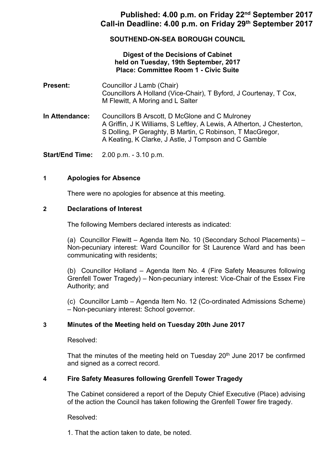# **Published: 4.00 p.m. on Friday 22nd September 2017 Call-in Deadline: 4.00 p.m. on Friday 29th September 2017**

## **SOUTHEND-ON-SEA BOROUGH COUNCIL**

### **Digest of the Decisions of Cabinet held on Tuesday, 19th September, 2017 Place: Committee Room 1 - Civic Suite**

- **Present:** Councillor J Lamb (Chair) Councillors A Holland (Vice-Chair), T Byford, J Courtenay, T Cox, M Flewitt, A Moring and L Salter
- **In Attendance:** Councillors B Arscott, D McGlone and C Mulroney A Griffin, J K Williams, S Leftley, A Lewis, A Atherton, J Chesterton, S Dolling, P Geraghty, B Martin, C Robinson, T MacGregor, A Keating, K Clarke, J Astle, J Tompson and C Gamble

**Start/End Time:** 2.00 p.m. - 3.10 p.m.

### **1 Apologies for Absence**

There were no apologies for absence at this meeting.

### **2 Declarations of Interest**

The following Members declared interests as indicated:

(a) Councillor Flewitt – Agenda Item No. 10 (Secondary School Placements) – Non-pecuniary interest: Ward Councillor for St Laurence Ward and has been communicating with residents;

(b) Councillor Holland – Agenda Item No. 4 (Fire Safety Measures following Grenfell Tower Tragedy) – Non-pecuniary interest: Vice-Chair of the Essex Fire Authority; and

(c) Councillor Lamb – Agenda Item No. 12 (Co-ordinated Admissions Scheme) – Non-pecuniary interest: School governor.

## **3 Minutes of the Meeting held on Tuesday 20th June 2017**

Resolved:

That the minutes of the meeting held on Tuesday  $20<sup>th</sup>$  June 2017 be confirmed and signed as a correct record.

## **4 Fire Safety Measures following Grenfell Tower Tragedy**

The Cabinet considered a report of the Deputy Chief Executive (Place) advising of the action the Council has taken following the Grenfell Tower fire tragedy.

Resolved:

1. That the action taken to date, be noted.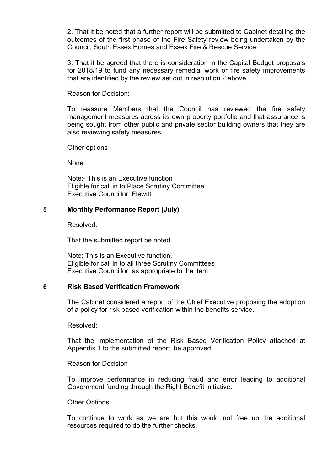2. That it be noted that a further report will be submitted to Cabinet detailing the outcomes of the first phase of the Fire Safety review being undertaken by the Council, South Essex Homes and Essex Fire & Rescue Service.

3. That it be agreed that there is consideration in the Capital Budget proposals for 2018/19 to fund any necessary remedial work or fire safety improvements that are identified by the review set out in resolution 2 above.

Reason for Decision:

To reassure Members that the Council has reviewed the fire safety management measures across its own property portfolio and that assurance is being sought from other public and private sector building owners that they are also reviewing safety measures.

Other options

None.

Note:- This is an Executive function Eligible for call in to Place Scrutiny Committee Executive Councillor: Flewitt

### **5 Monthly Performance Report (July)**

Resolved:

That the submitted report be noted.

Note: This is an Executive function. Eligible for call in to all three Scrutiny Committees Executive Councillor: as appropriate to the item

### **6 Risk Based Verification Framework**

The Cabinet considered a report of the Chief Executive proposing the adoption of a policy for risk based verification within the benefits service.

Resolved:

That the implementation of the Risk Based Verification Policy attached at Appendix 1 to the submitted report, be approved.

#### Reason for Decision

To improve performance in reducing fraud and error leading to additional Government funding through the Right Benefit initiative.

#### Other Options

To continue to work as we are but this would not free up the additional resources required to do the further checks.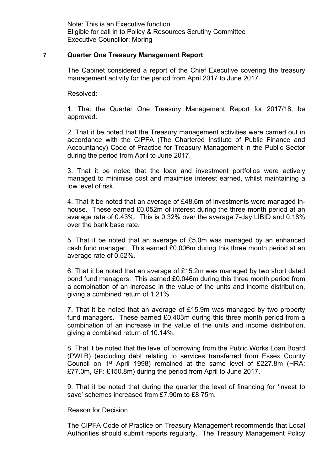Note: This is an Executive function Eligible for call in to Policy & Resources Scrutiny Committee Executive Councillor: Moring

#### **7 Quarter One Treasury Management Report**

The Cabinet considered a report of the Chief Executive covering the treasury management activity for the period from April 2017 to June 2017.

Resolved:

1. That the Quarter One Treasury Management Report for 2017/18, be approved.

2. That it be noted that the Treasury management activities were carried out in accordance with the CIPFA (The Chartered Institute of Public Finance and Accountancy) Code of Practice for Treasury Management in the Public Sector during the period from April to June 2017.

3. That it be noted that the loan and investment portfolios were actively managed to minimise cost and maximise interest earned, whilst maintaining a low level of risk.

4. That it be noted that an average of £48.6m of investments were managed inhouse. These earned £0.052m of interest during the three month period at an average rate of 0.43%. This is 0.32% over the average 7-day LIBID and 0.18% over the bank base rate.

5. That it be noted that an average of £5.0m was managed by an enhanced cash fund manager. This earned £0.006m during this three month period at an average rate of 0.52%.

6. That it be noted that an average of £15.2m was managed by two short dated bond fund managers. This earned £0.046m during this three month period from a combination of an increase in the value of the units and income distribution, giving a combined return of 1.21%.

7. That it be noted that an average of £15.9m was managed by two property fund managers. These earned £0.403m during this three month period from a combination of an increase in the value of the units and income distribution, giving a combined return of 10.14%.

8. That it be noted that the level of borrowing from the Public Works Loan Board (PWLB) (excluding debt relating to services transferred from Essex County Council on 1<sup>st</sup> April 1998) remained at the same level of £227.8m (HRA: £77.0m, GF: £150.8m) during the period from April to June 2017.

9. That it be noted that during the quarter the level of financing for 'invest to save' schemes increased from £7.90m to £8.75m.

#### Reason for Decision

The CIPFA Code of Practice on Treasury Management recommends that Local Authorities should submit reports regularly. The Treasury Management Policy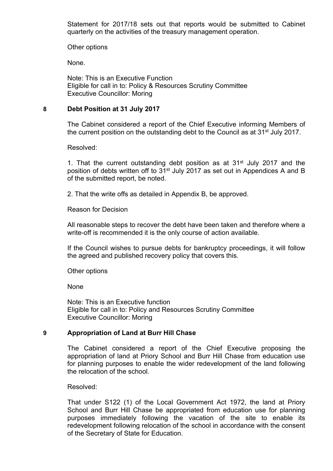Statement for 2017/18 sets out that reports would be submitted to Cabinet quarterly on the activities of the treasury management operation.

Other options

None.

Note: This is an Executive Function Eligible for call in to: Policy & Resources Scrutiny Committee Executive Councillor: Moring

### **8 Debt Position at 31 July 2017**

The Cabinet considered a report of the Chief Executive informing Members of the current position on the outstanding debt to the Council as at 31st July 2017.

Resolved:

1. That the current outstanding debt position as at 31st July 2017 and the position of debts written off to 31<sup>st</sup> July 2017 as set out in Appendices A and B of the submitted report, be noted.

2. That the write offs as detailed in Appendix B, be approved.

Reason for Decision

All reasonable steps to recover the debt have been taken and therefore where a write-off is recommended it is the only course of action available.

If the Council wishes to pursue debts for bankruptcy proceedings, it will follow the agreed and published recovery policy that covers this.

Other options

None

Note: This is an Executive function Eligible for call in to: Policy and Resources Scrutiny Committee Executive Councillor: Moring

### **9 Appropriation of Land at Burr Hill Chase**

The Cabinet considered a report of the Chief Executive proposing the appropriation of land at Priory School and Burr Hill Chase from education use for planning purposes to enable the wider redevelopment of the land following the relocation of the school.

Resolved:

That under S122 (1) of the Local Government Act 1972, the land at Priory School and Burr Hill Chase be appropriated from education use for planning purposes immediately following the vacation of the site to enable its redevelopment following relocation of the school in accordance with the consent of the Secretary of State for Education.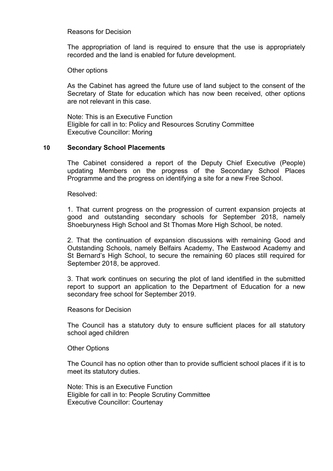### Reasons for Decision

The appropriation of land is required to ensure that the use is appropriately recorded and the land is enabled for future development.

Other options

As the Cabinet has agreed the future use of land subject to the consent of the Secretary of State for education which has now been received, other options are not relevant in this case.

Note: This is an Executive Function Eligible for call in to: Policy and Resources Scrutiny Committee Executive Councillor: Moring

### **10 Secondary School Placements**

The Cabinet considered a report of the Deputy Chief Executive (People) updating Members on the progress of the Secondary School Places Programme and the progress on identifying a site for a new Free School.

Resolved:

1. That current progress on the progression of current expansion projects at good and outstanding secondary schools for September 2018, namely Shoeburyness High School and St Thomas More High School, be noted.

2. That the continuation of expansion discussions with remaining Good and Outstanding Schools, namely Belfairs Academy, The Eastwood Academy and St Bernard's High School, to secure the remaining 60 places still required for September 2018, be approved.

3. That work continues on securing the plot of land identified in the submitted report to support an application to the Department of Education for a new secondary free school for September 2019.

#### Reasons for Decision

The Council has a statutory duty to ensure sufficient places for all statutory school aged children

#### Other Options

The Council has no option other than to provide sufficient school places if it is to meet its statutory duties.

Note: This is an Executive Function Eligible for call in to: People Scrutiny Committee Executive Councillor: Courtenay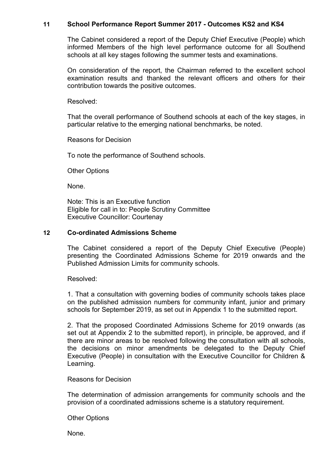### **11 School Performance Report Summer 2017 - Outcomes KS2 and KS4**

The Cabinet considered a report of the Deputy Chief Executive (People) which informed Members of the high level performance outcome for all Southend schools at all key stages following the summer tests and examinations.

On consideration of the report, the Chairman referred to the excellent school examination results and thanked the relevant officers and others for their contribution towards the positive outcomes.

Resolved:

That the overall performance of Southend schools at each of the key stages, in particular relative to the emerging national benchmarks, be noted.

Reasons for Decision

To note the performance of Southend schools.

Other Options

None.

Note: This is an Executive function Eligible for call in to: People Scrutiny Committee Executive Councillor: Courtenay

#### **12 Co-ordinated Admissions Scheme**

The Cabinet considered a report of the Deputy Chief Executive (People) presenting the Coordinated Admissions Scheme for 2019 onwards and the Published Admission Limits for community schools.

Resolved:

1. That a consultation with governing bodies of community schools takes place on the published admission numbers for community infant, junior and primary schools for September 2019, as set out in Appendix 1 to the submitted report.

2. That the proposed Coordinated Admissions Scheme for 2019 onwards (as set out at Appendix 2 to the submitted report), in principle, be approved, and if there are minor areas to be resolved following the consultation with all schools, the decisions on minor amendments be delegated to the Deputy Chief Executive (People) in consultation with the Executive Councillor for Children & Learning.

### Reasons for Decision

The determination of admission arrangements for community schools and the provision of a coordinated admissions scheme is a statutory requirement.

Other Options

None.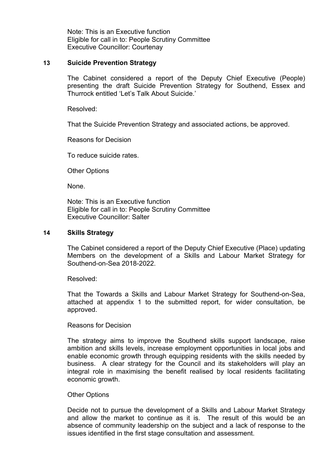Note: This is an Executive function Eligible for call in to: People Scrutiny Committee Executive Councillor: Courtenay

#### **13 Suicide Prevention Strategy**

The Cabinet considered a report of the Deputy Chief Executive (People) presenting the draft Suicide Prevention Strategy for Southend, Essex and Thurrock entitled 'Let's Talk About Suicide.'

Resolved:

That the Suicide Prevention Strategy and associated actions, be approved.

Reasons for Decision

To reduce suicide rates.

Other Options

None.

Note: This is an Executive function Eligible for call in to: People Scrutiny Committee Executive Councillor: Salter

#### **14 Skills Strategy**

The Cabinet considered a report of the Deputy Chief Executive (Place) updating Members on the development of a Skills and Labour Market Strategy for Southend-on-Sea 2018-2022.

Resolved:

That the Towards a Skills and Labour Market Strategy for Southend-on-Sea, attached at appendix 1 to the submitted report, for wider consultation, be approved.

#### Reasons for Decision

The strategy aims to improve the Southend skills support landscape, raise ambition and skills levels, increase employment opportunities in local jobs and enable economic growth through equipping residents with the skills needed by business. A clear strategy for the Council and its stakeholders will play an integral role in maximising the benefit realised by local residents facilitating economic growth.

#### Other Options

Decide not to pursue the development of a Skills and Labour Market Strategy and allow the market to continue as it is. The result of this would be an absence of community leadership on the subject and a lack of response to the issues identified in the first stage consultation and assessment.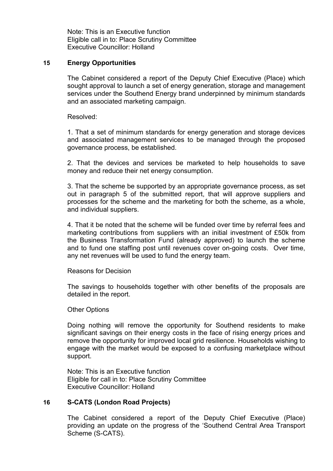Note: This is an Executive function Eligible call in to: Place Scrutiny Committee Executive Councillor: Holland

### **15 Energy Opportunities**

The Cabinet considered a report of the Deputy Chief Executive (Place) which sought approval to launch a set of energy generation, storage and management services under the Southend Energy brand underpinned by minimum standards and an associated marketing campaign.

Resolved:

1. That a set of minimum standards for energy generation and storage devices and associated management services to be managed through the proposed governance process, be established.

2. That the devices and services be marketed to help households to save money and reduce their net energy consumption.

3. That the scheme be supported by an appropriate governance process, as set out in paragraph 5 of the submitted report, that will approve suppliers and processes for the scheme and the marketing for both the scheme, as a whole, and individual suppliers.

4. That it be noted that the scheme will be funded over time by referral fees and marketing contributions from suppliers with an initial investment of £50k from the Business Transformation Fund (already approved) to launch the scheme and to fund one staffing post until revenues cover on-going costs. Over time, any net revenues will be used to fund the energy team.

Reasons for Decision

The savings to households together with other benefits of the proposals are detailed in the report.

Other Options

Doing nothing will remove the opportunity for Southend residents to make significant savings on their energy costs in the face of rising energy prices and remove the opportunity for improved local grid resilience. Households wishing to engage with the market would be exposed to a confusing marketplace without support.

Note: This is an Executive function Eligible for call in to: Place Scrutiny Committee Executive Councillor: Holland

#### **16 S-CATS (London Road Projects)**

The Cabinet considered a report of the Deputy Chief Executive (Place) providing an update on the progress of the 'Southend Central Area Transport Scheme (S-CATS).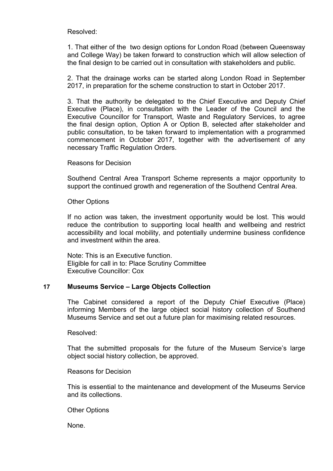Resolved:

1. That either of the two design options for London Road (between Queensway and College Way) be taken forward to construction which will allow selection of the final design to be carried out in consultation with stakeholders and public.

2. That the drainage works can be started along London Road in September 2017, in preparation for the scheme construction to start in October 2017.

3. That the authority be delegated to the Chief Executive and Deputy Chief Executive (Place), in consultation with the Leader of the Council and the Executive Councillor for Transport, Waste and Regulatory Services, to agree the final design option, Option A or Option B, selected after stakeholder and public consultation, to be taken forward to implementation with a programmed commencement in October 2017, together with the advertisement of any necessary Traffic Regulation Orders.

Reasons for Decision

Southend Central Area Transport Scheme represents a major opportunity to support the continued growth and regeneration of the Southend Central Area.

Other Options

If no action was taken, the investment opportunity would be lost. This would reduce the contribution to supporting local health and wellbeing and restrict accessibility and local mobility, and potentially undermine business confidence and investment within the area.

Note: This is an Executive function. Eligible for call in to: Place Scrutiny Committee Executive Councillor: Cox

### **17 Museums Service – Large Objects Collection**

The Cabinet considered a report of the Deputy Chief Executive (Place) informing Members of the large object social history collection of Southend Museums Service and set out a future plan for maximising related resources.

Resolved:

That the submitted proposals for the future of the Museum Service's large object social history collection, be approved.

Reasons for Decision

This is essential to the maintenance and development of the Museums Service and its collections.

Other Options

None.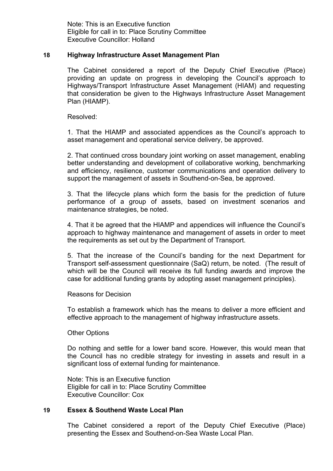Note: This is an Executive function Eligible for call in to: Place Scrutiny Committee Executive Councillor: Holland

### **18 Highway Infrastructure Asset Management Plan**

The Cabinet considered a report of the Deputy Chief Executive (Place) providing an update on progress in developing the Council's approach to Highways/Transport Infrastructure Asset Management (HIAM) and requesting that consideration be given to the Highways Infrastructure Asset Management Plan (HIAMP).

Resolved:

1. That the HIAMP and associated appendices as the Council's approach to asset management and operational service delivery, be approved.

2. That continued cross boundary joint working on asset management, enabling better understanding and development of collaborative working, benchmarking and efficiency, resilience, customer communications and operation delivery to support the management of assets in Southend-on-Sea, be approved.

3. That the lifecycle plans which form the basis for the prediction of future performance of a group of assets, based on investment scenarios and maintenance strategies, be noted.

4. That it be agreed that the HIAMP and appendices will influence the Council's approach to highway maintenance and management of assets in order to meet the requirements as set out by the Department of Transport.

5. That the increase of the Council's banding for the next Department for Transport self-assessment questionnaire (SaQ) return, be noted. (The result of which will be the Council will receive its full funding awards and improve the case for additional funding grants by adopting asset management principles).

Reasons for Decision

To establish a framework which has the means to deliver a more efficient and effective approach to the management of highway infrastructure assets.

Other Options

Do nothing and settle for a lower band score. However, this would mean that the Council has no credible strategy for investing in assets and result in a significant loss of external funding for maintenance.

Note: This is an Executive function Eligible for call in to: Place Scrutiny Committee Executive Councillor: Cox

### **19 Essex & Southend Waste Local Plan**

The Cabinet considered a report of the Deputy Chief Executive (Place) presenting the Essex and Southend-on-Sea Waste Local Plan.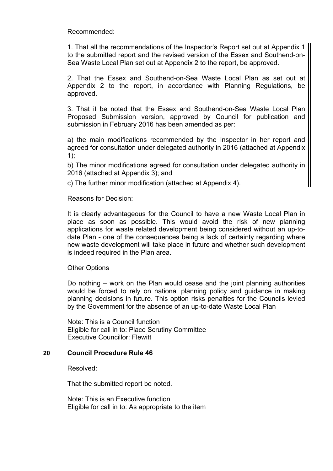Recommended:

1. That all the recommendations of the Inspector's Report set out at Appendix 1 to the submitted report and the revised version of the Essex and Southend-on-Sea Waste Local Plan set out at Appendix 2 to the report, be approved.

2. That the Essex and Southend-on-Sea Waste Local Plan as set out at Appendix 2 to the report, in accordance with Planning Regulations, be approved.

3. That it be noted that the Essex and Southend-on-Sea Waste Local Plan Proposed Submission version, approved by Council for publication and submission in February 2016 has been amended as per:

a) the main modifications recommended by the Inspector in her report and agreed for consultation under delegated authority in 2016 (attached at Appendix  $1$ );

b) The minor modifications agreed for consultation under delegated authority in 2016 (attached at Appendix 3); and

c) The further minor modification (attached at Appendix 4).

Reasons for Decision:

It is clearly advantageous for the Council to have a new Waste Local Plan in place as soon as possible. This would avoid the risk of new planning applications for waste related development being considered without an up-todate Plan - one of the consequences being a lack of certainty regarding where new waste development will take place in future and whether such development is indeed required in the Plan area.

Other Options

Do nothing – work on the Plan would cease and the joint planning authorities would be forced to rely on national planning policy and guidance in making planning decisions in future. This option risks penalties for the Councils levied by the Government for the absence of an up-to-date Waste Local Plan

Note: This is a Council function Eligible for call in to: Place Scrutiny Committee Executive Councillor: Flewitt

### **20 Council Procedure Rule 46**

Resolved:

That the submitted report be noted.

Note: This is an Executive function Eligible for call in to: As appropriate to the item